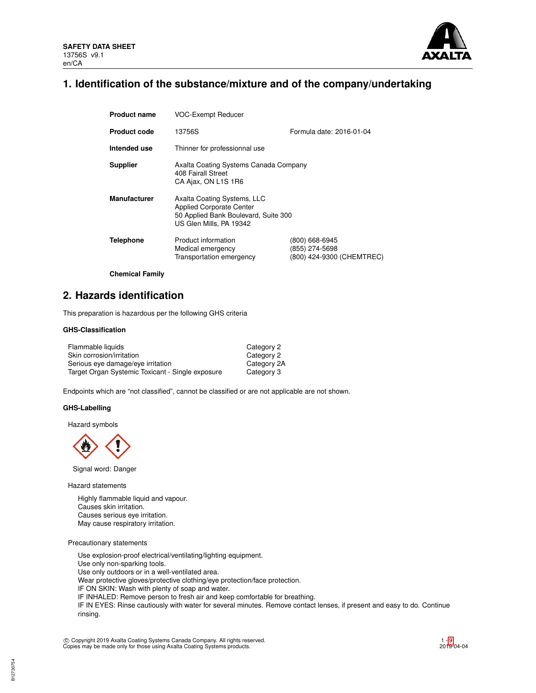

## **1. Identification of the substance/mixture and of the company/undertaking**

| <b>Product name</b> | <b>VOC-Exempt Reducer</b>                                                                                                         |                                                               |  |  |  |
|---------------------|-----------------------------------------------------------------------------------------------------------------------------------|---------------------------------------------------------------|--|--|--|
| <b>Product code</b> | Formula date: 2016-01-04<br>13756S                                                                                                |                                                               |  |  |  |
| Intended use        | Thinner for professionnal use                                                                                                     |                                                               |  |  |  |
| <b>Supplier</b>     | Axalta Coating Systems Canada Company<br>408 Fairall Street<br>CA Ajax, ON L1S 1R6                                                |                                                               |  |  |  |
| <b>Manufacturer</b> | Axalta Coating Systems, LLC<br><b>Applied Corporate Center</b><br>50 Applied Bank Boulevard, Suite 300<br>US Glen Mills, PA 19342 |                                                               |  |  |  |
| <b>Telephone</b>    | Product information<br>Medical emergency<br>Transportation emergency                                                              | (800) 668-6945<br>(855) 274-5698<br>(800) 424-9300 (CHEMTREC) |  |  |  |

**Chemical Family**

# **2. Hazards identification**

This preparation is hazardous per the following GHS criteria

## **GHS-Classification**

| Flammable liquids                                | Category 2  |
|--------------------------------------------------|-------------|
| Skin corrosion/irritation                        | Category 2  |
| Serious eye damage/eye irritation                | Category 2A |
| Target Organ Systemic Toxicant - Single exposure | Category 3  |

Endpoints which are "not classified", cannot be classified or are not applicable are not shown.

### **GHS-Labelling**

Hazard symbols



Signal word: Danger

Hazard statements

Highly flammable liquid and vapour. Causes skin irritation. Causes serious eye irritation. May cause respiratory irritation.

Precautionary statements

B12730754

Use explosion-proof electrical/ventilating/lighting equipment. Use only non-sparking tools. Use only outdoors or in a well-ventilated area. Wear protective gloves/protective clothing/eye protection/face protection. IF ON SKIN: Wash with plenty of soap and water. IF INHALED: Remove person to fresh air and keep comfortable for breathing. IF IN EYES: Rinse cautiously with water for several minutes. Remove contact lenses, if present and easy to do. Continue rinsing.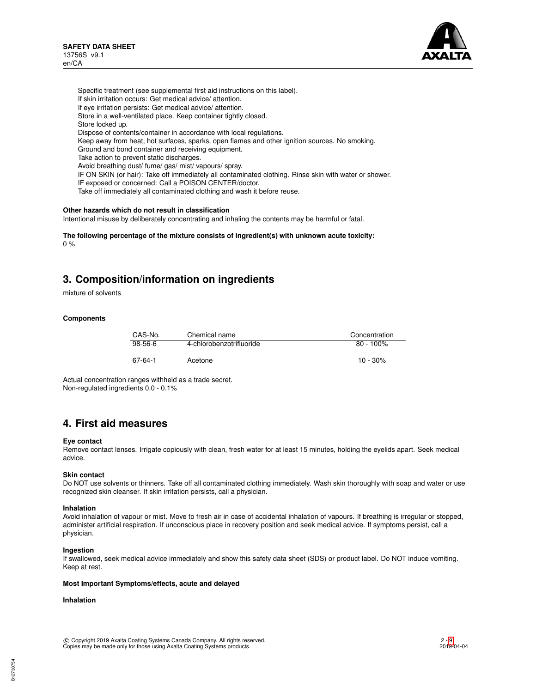

Specific treatment (see supplemental first aid instructions on this label). If skin irritation occurs: Get medical advice/ attention. If eye irritation persists: Get medical advice/ attention. Store in a well-ventilated place. Keep container tightly closed. Store locked up. Dispose of contents/container in accordance with local regulations. Keep away from heat, hot surfaces, sparks, open flames and other ignition sources. No smoking. Ground and bond container and receiving equipment. Take action to prevent static discharges. Avoid breathing dust/ fume/ gas/ mist/ vapours/ spray. IF ON SKIN (or hair): Take off immediately all contaminated clothing. Rinse skin with water or shower. IF exposed or concerned: Call a POISON CENTER/doctor. Take off immediately all contaminated clothing and wash it before reuse.

#### **Other hazards which do not result in classification**

Intentional misuse by deliberately concentrating and inhaling the contents may be harmful or fatal.

**The following percentage of the mixture consists of ingredient(s) with unknown acute toxicity:**  $0 %$ 

## **3. Composition/information on ingredients**

mixture of solvents

## **Components**

| CAS-No. | Chemical name            | Concentration |
|---------|--------------------------|---------------|
| 98-56-6 | 4-chlorobenzotrifluoride | $80 - 100\%$  |
| 67-64-1 | Acetone                  | $10 - 30\%$   |

Actual concentration ranges withheld as a trade secret. Non-regulated ingredients 0.0 - 0.1%

## **4. First aid measures**

### **Eye contact**

Remove contact lenses. Irrigate copiously with clean, fresh water for at least 15 minutes, holding the eyelids apart. Seek medical advice.

#### **Skin contact**

Do NOT use solvents or thinners. Take off all contaminated clothing immediately. Wash skin thoroughly with soap and water or use recognized skin cleanser. If skin irritation persists, call a physician.

#### **Inhalation**

Avoid inhalation of vapour or mist. Move to fresh air in case of accidental inhalation of vapours. If breathing is irregular or stopped, administer artificial respiration. If unconscious place in recovery position and seek medical advice. If symptoms persist, call a physician.

#### **Ingestion**

If swallowed, seek medical advice immediately and show this safety data sheet (SDS) or product label. Do NOT induce vomiting. Keep at rest.

#### **Most Important Symptoms/effects, acute and delayed**

## **Inhalation**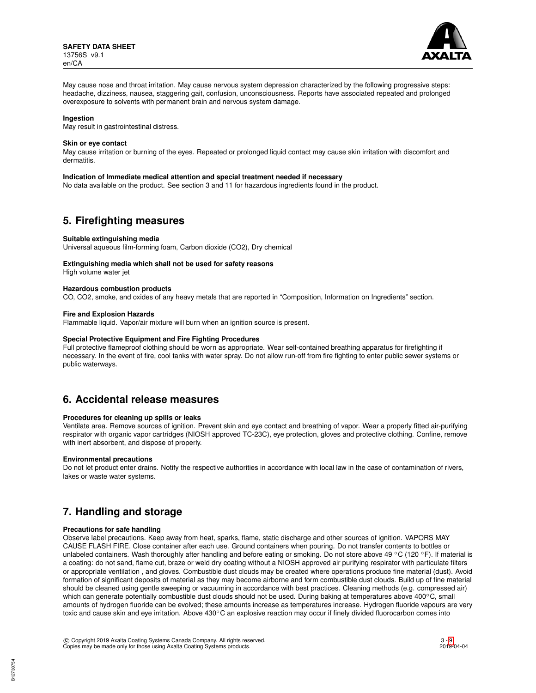

May cause nose and throat irritation. May cause nervous system depression characterized by the following progressive steps: headache, dizziness, nausea, staggering gait, confusion, unconsciousness. Reports have associated repeated and prolonged overexposure to solvents with permanent brain and nervous system damage.

#### **Ingestion**

May result in gastrointestinal distress.

### **Skin or eye contact**

May cause irritation or burning of the eyes. Repeated or prolonged liquid contact may cause skin irritation with discomfort and dermatitis.

#### **Indication of Immediate medical attention and special treatment needed if necessary**

No data available on the product. See section 3 and 11 for hazardous ingredients found in the product.

## **5. Firefighting measures**

#### **Suitable extinguishing media**

Universal aqueous film-forming foam, Carbon dioxide (CO2), Dry chemical

## **Extinguishing media which shall not be used for safety reasons**

High volume water jet

## **Hazardous combustion products**

CO, CO2, smoke, and oxides of any heavy metals that are reported in "Composition, Information on Ingredients" section.

#### **Fire and Explosion Hazards**

Flammable liquid. Vapor/air mixture will burn when an ignition source is present.

#### **Special Protective Equipment and Fire Fighting Procedures**

Full protective flameproof clothing should be worn as appropriate. Wear self-contained breathing apparatus for firefighting if necessary. In the event of fire, cool tanks with water spray. Do not allow run-off from fire fighting to enter public sewer systems or public waterways.

## **6. Accidental release measures**

### **Procedures for cleaning up spills or leaks**

Ventilate area. Remove sources of ignition. Prevent skin and eye contact and breathing of vapor. Wear a properly fitted air-purifying respirator with organic vapor cartridges (NIOSH approved TC-23C), eye protection, gloves and protective clothing. Confine, remove with inert absorbent, and dispose of properly.

#### **Environmental precautions**

Do not let product enter drains. Notify the respective authorities in accordance with local law in the case of contamination of rivers, lakes or waste water systems.

## **7. Handling and storage**

### **Precautions for safe handling**

Observe label precautions. Keep away from heat, sparks, flame, static discharge and other sources of ignition. VAPORS MAY CAUSE FLASH FIRE. Close container after each use. Ground containers when pouring. Do not transfer contents to bottles or unlabeled containers. Wash thoroughly after handling and before eating or smoking. Do not store above 49 °C (120 °F). If material is a coating: do not sand, flame cut, braze or weld dry coating without a NIOSH approved air purifying respirator with particulate filters or appropriate ventilation , and gloves. Combustible dust clouds may be created where operations produce fine material (dust). Avoid formation of significant deposits of material as they may become airborne and form combustible dust clouds. Build up of fine material should be cleaned using gentle sweeping or vacuuming in accordance with best practices. Cleaning methods (e.g. compressed air) which can generate potentially combustible dust clouds should not be used. During baking at temperatures above 400℃, small amounts of hydrogen fluoride can be evolved; these amounts increase as temperatures increase. Hydrogen fluoride vapours are very toxic and cause skin and eye irritation. Above 430℃ an explosive reaction may occur if finely divided fluorocarbon comes into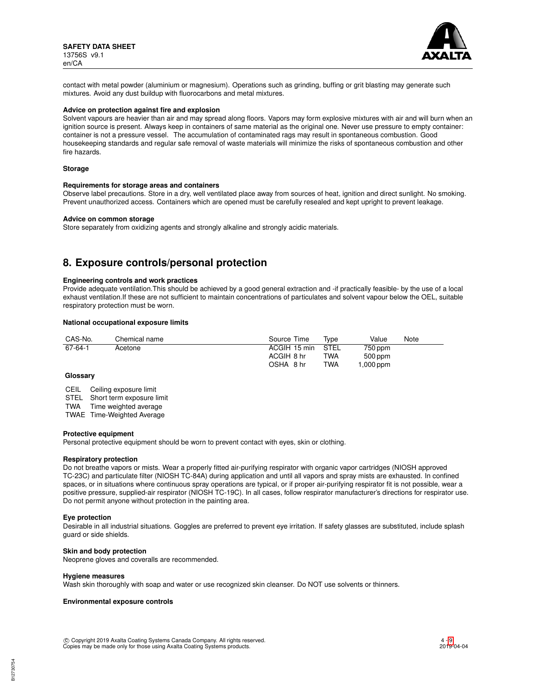

contact with metal powder (aluminium or magnesium). Operations such as grinding, buffing or grit blasting may generate such mixtures. Avoid any dust buildup with fluorocarbons and metal mixtures.

## **Advice on protection against fire and explosion**

Solvent vapours are heavier than air and may spread along floors. Vapors may form explosive mixtures with air and will burn when an ignition source is present. Always keep in containers of same material as the original one. Never use pressure to empty container: container is not a pressure vessel. The accumulation of contaminated rags may result in spontaneous combustion. Good housekeeping standards and regular safe removal of waste materials will minimize the risks of spontaneous combustion and other fire hazards.

#### **Storage**

#### **Requirements for storage areas and containers**

Observe label precautions. Store in a dry, well ventilated place away from sources of heat, ignition and direct sunlight. No smoking. Prevent unauthorized access. Containers which are opened must be carefully resealed and kept upright to prevent leakage.

#### **Advice on common storage**

Store separately from oxidizing agents and strongly alkaline and strongly acidic materials.

## **8. Exposure controls/personal protection**

#### **Engineering controls and work practices**

Provide adequate ventilation.This should be achieved by a good general extraction and -if practically feasible- by the use of a local exhaust ventilation.If these are not sufficient to maintain concentrations of particulates and solvent vapour below the OEL, suitable respiratory protection must be worn.

### **National occupational exposure limits**

| CAS-No. | Chemical name | Source Time  | Tvpe | Value<br>Note |
|---------|---------------|--------------|------|---------------|
| 67-64-1 | Acetone       | ACGIH 15 min | STEL | 750 ppm       |
|         |               | ACGIH 8 hr   | TWA  | $500$ ppm     |
|         |               | OSHA 8 hr    | TWA  | ,000 ppm      |

### **Glossary**

CEIL Ceiling exposure limit STEL Short term exposure limit

TWA Time weighted average

TWAE Time-Weighted Average

## **Protective equipment**

Personal protective equipment should be worn to prevent contact with eyes, skin or clothing.

#### **Respiratory protection**

Do not breathe vapors or mists. Wear a properly fitted air-purifying respirator with organic vapor cartridges (NIOSH approved TC-23C) and particulate filter (NIOSH TC-84A) during application and until all vapors and spray mists are exhausted. In confined spaces, or in situations where continuous spray operations are typical, or if proper air-purifying respirator fit is not possible, wear a positive pressure, supplied-air respirator (NIOSH TC-19C). In all cases, follow respirator manufacturer's directions for respirator use. Do not permit anyone without protection in the painting area.

#### **Eye protection**

Desirable in all industrial situations. Goggles are preferred to prevent eye irritation. If safety glasses are substituted, include splash guard or side shields.

#### **Skin and body protection**

Neoprene gloves and coveralls are recommended.

#### **Hygiene measures**

Wash skin thoroughly with soap and water or use recognized skin cleanser. Do NOT use solvents or thinners.

### **Environmental exposure controls**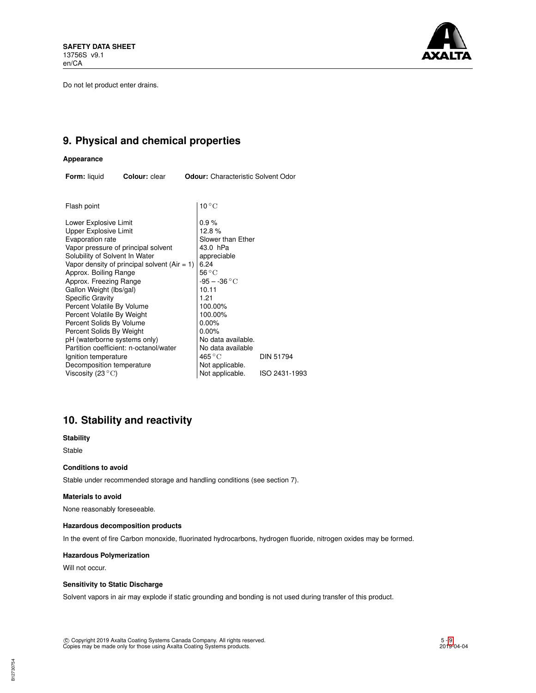Do not let product enter drains.



# **9. Physical and chemical properties**

## **Appearance**

| <b>Form:</b> liquid<br>Colour: clear | <b>Odour:</b> Characteristic Solvent Odor |
|--------------------------------------|-------------------------------------------|
|--------------------------------------|-------------------------------------------|

| Flash point                                    | $10^{\circ}$ C     |                  |
|------------------------------------------------|--------------------|------------------|
| Lower Explosive Limit                          | 0.9%               |                  |
| Upper Explosive Limit                          | 12.8%              |                  |
| Evaporation rate                               | Slower than Ether  |                  |
| Vapor pressure of principal solvent            | 43.0 hPa           |                  |
| Solubility of Solvent In Water                 | appreciable        |                  |
| Vapor density of principal solvent $(Air = 1)$ | 6.24               |                  |
| Approx. Boiling Range                          | $56^{\circ}$ C     |                  |
| Approx. Freezing Range                         | $-95 - -36 °C$     |                  |
| Gallon Weight (lbs/gal)                        | 10.11              |                  |
| <b>Specific Gravity</b>                        | 1.21               |                  |
| Percent Volatile By Volume                     | 100.00%            |                  |
| Percent Volatile By Weight                     | 100.00%            |                  |
| Percent Solids By Volume                       | $0.00\%$           |                  |
| Percent Solids By Weight                       | 0.00%              |                  |
| pH (waterborne systems only)                   | No data available. |                  |
| Partition coefficient: n-octanol/water         | No data available  |                  |
| Ignition temperature                           | 465 °C             | <b>DIN 51794</b> |
| Decomposition temperature                      | Not applicable.    |                  |
| Viscosity (23 $\rm ^{\circ}C)$                 | Not applicable.    | ISO 2431-1993    |
|                                                |                    |                  |

# **10. Stability and reactivity**

## **Stability**

Stable

## **Conditions to avoid**

Stable under recommended storage and handling conditions (see section 7).

## **Materials to avoid**

None reasonably foreseeable.

## **Hazardous decomposition products**

In the event of fire Carbon monoxide, fluorinated hydrocarbons, hydrogen fluoride, nitrogen oxides may be formed.

## **Hazardous Polymerization**

Will not occur.

## **Sensitivity to Static Discharge**

Solvent vapors in air may explode if static grounding and bonding is not used during transfer of this product.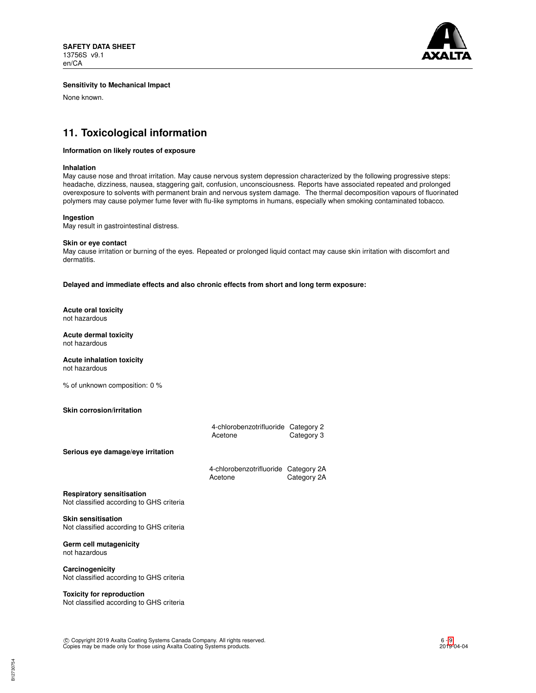

## **Sensitivity to Mechanical Impact**

None known.

# **11. Toxicological information**

## **Information on likely routes of exposure**

#### **Inhalation**

May cause nose and throat irritation. May cause nervous system depression characterized by the following progressive steps: headache, dizziness, nausea, staggering gait, confusion, unconsciousness. Reports have associated repeated and prolonged overexposure to solvents with permanent brain and nervous system damage. The thermal decomposition vapours of fluorinated polymers may cause polymer fume fever with flu-like symptoms in humans, especially when smoking contaminated tobacco.

#### **Ingestion**

May result in gastrointestinal distress.

#### **Skin or eye contact**

May cause irritation or burning of the eyes. Repeated or prolonged liquid contact may cause skin irritation with discomfort and dermatitis.

**Delayed and immediate effects and also chronic effects from short and long term exposure:**

**Acute oral toxicity** not hazardous

**Acute dermal toxicity** not hazardous

**Acute inhalation toxicity** not hazardous

% of unknown composition: 0 %

## **Skin corrosion/irritation**

|                                                                              | 4-chlorobenzotrifluoride Category 2<br>Acetone  | Category 3  |
|------------------------------------------------------------------------------|-------------------------------------------------|-------------|
| Serious eye damage/eye irritation                                            |                                                 |             |
|                                                                              | 4-chlorobenzotrifluoride Category 2A<br>Acetone | Category 2A |
| <b>Respiratory sensitisation</b><br>Not classified according to GHS criteria |                                                 |             |
| <b>Skin sensitisation</b><br>Not classified according to GHS criteria        |                                                 |             |

**Germ cell mutagenicity** not hazardous

**Carcinogenicity** Not classified according to GHS criteria

## **Toxicity for reproduction**

Not classified according to GHS criteria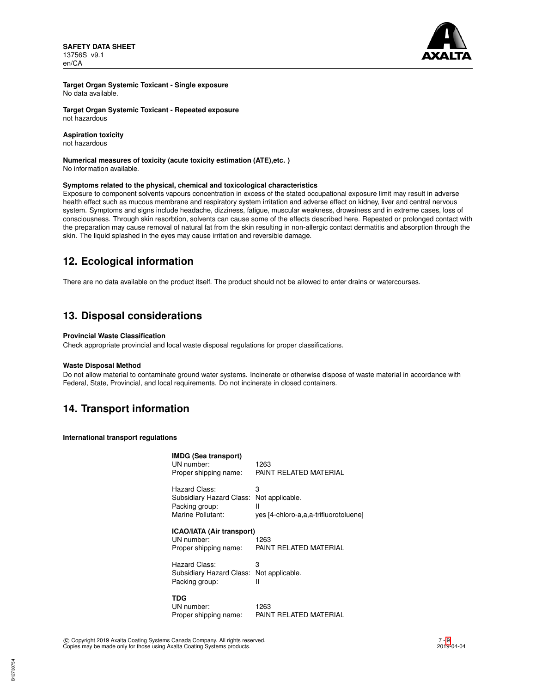**SAFETY DATA SHEET** 13756S v9.1 en/CA



**Target Organ Systemic Toxicant - Single exposure** No data available.

**Target Organ Systemic Toxicant - Repeated exposure** not hazardous

## **Aspiration toxicity**

not hazardous

### **Numerical measures of toxicity (acute toxicity estimation (ATE),etc. )** No information available.

## **Symptoms related to the physical, chemical and toxicological characteristics**

Exposure to component solvents vapours concentration in excess of the stated occupational exposure limit may result in adverse health effect such as mucous membrane and respiratory system irritation and adverse effect on kidney, liver and central nervous system. Symptoms and signs include headache, dizziness, fatigue, muscular weakness, drowsiness and in extreme cases, loss of consciousness. Through skin resorbtion, solvents can cause some of the effects described here. Repeated or prolonged contact with the preparation may cause removal of natural fat from the skin resulting in non-allergic contact dermatitis and absorption through the skin. The liquid splashed in the eyes may cause irritation and reversible damage.

# **12. Ecological information**

There are no data available on the product itself. The product should not be allowed to enter drains or watercourses.

## **13. Disposal considerations**

## **Provincial Waste Classification**

Check appropriate provincial and local waste disposal regulations for proper classifications.

#### **Waste Disposal Method**

Do not allow material to contaminate ground water systems. Incinerate or otherwise dispose of waste material in accordance with Federal, State, Provincial, and local requirements. Do not incinerate in closed containers.

## **14. Transport information**

**International transport regulations**

| <b>IMDG (Sea transport)</b><br>UN number:<br>Proper shipping name:               | 1263<br>PAINT RELATED MATERIAL                                     |
|----------------------------------------------------------------------------------|--------------------------------------------------------------------|
| Hazard Class:<br>Subsidiary Hazard Class:<br>Packing group:<br>Marine Pollutant: | З<br>Not applicable.<br>Ш<br>yes [4-chloro-a,a,a-trifluorotoluene] |
| <b>ICAO/IATA (Air transport)</b><br>UN number:<br>Proper shipping name:          | 1263<br>PAINT RELATED MATERIAL                                     |
| Hazard Class:<br>Subsidiary Hazard Class:<br>Packing group:                      | 3<br>Not applicable.<br>н                                          |
| TDG<br>UN number:<br>Proper shipping name:                                       | 1263<br>PAINT RELATED MATERIAL                                     |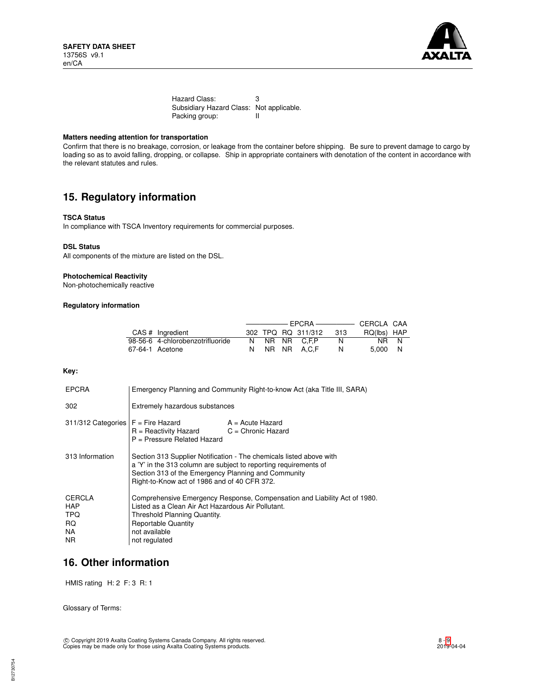

Hazard Class: 3 Subsidiary Hazard Class: Not applicable.<br>Packing group: II Packing group:

## **Matters needing attention for transportation**

Confirm that there is no breakage, corrosion, or leakage from the container before shipping. Be sure to prevent damage to cargo by loading so as to avoid falling, dropping, or collapse. Ship in appropriate containers with denotation of the content in accordance with the relevant statutes and rules.

## **15. Regulatory information**

### **TSCA Status**

In compliance with TSCA Inventory requirements for commercial purposes.

#### **DSL Status**

All components of the mixture are listed on the DSL.

## **Photochemical Reactivity**

Non-photochemically reactive

## **Regulatory information**

| CAS # Ingredient                 |  | 302 TPQ RQ 311/312 | 313 | RQ(lbs) HAP |  |
|----------------------------------|--|--------------------|-----|-------------|--|
| 98-56-6 4-chlorobenzotrifluoride |  | N NR NR C.F.P      | N   | NR N        |  |
| 67-64-1 Acetone                  |  | N NR NR A.C.F      |     | 5.000 N     |  |

## **Key:**

| <b>EPCRA</b>                                            | Emergency Planning and Community Right-to-know Act (aka Title III, SARA)                                                                                                                                                                       |                    |  |
|---------------------------------------------------------|------------------------------------------------------------------------------------------------------------------------------------------------------------------------------------------------------------------------------------------------|--------------------|--|
| 302                                                     | Extremely hazardous substances                                                                                                                                                                                                                 |                    |  |
| $311/312$ Categories $F =$ Fire Hazard                  | $R =$ Reactivity Hazard $C =$ Chronic Hazard<br>$P =$ Pressure Related Hazard                                                                                                                                                                  | $A = Acute$ Hazard |  |
| 313 Information                                         | Section 313 Supplier Notification - The chemicals listed above with<br>a 'Y' in the 313 column are subject to reporting requirements of<br>Section 313 of the Emergency Planning and Community<br>Right-to-Know act of 1986 and of 40 CFR 372. |                    |  |
| <b>CERCLA</b><br>HAP<br><b>TPQ</b><br>RQ.<br>NA.<br>NR. | Comprehensive Emergency Response, Compensation and Liability Act of 1980.<br>Listed as a Clean Air Act Hazardous Air Pollutant.<br>Threshold Planning Quantity.<br><b>Reportable Quantity</b><br>not available<br>not regulated                |                    |  |

## **16. Other information**

HMIS rating H: 2 F: 3 R: 1

Glossary of Terms: